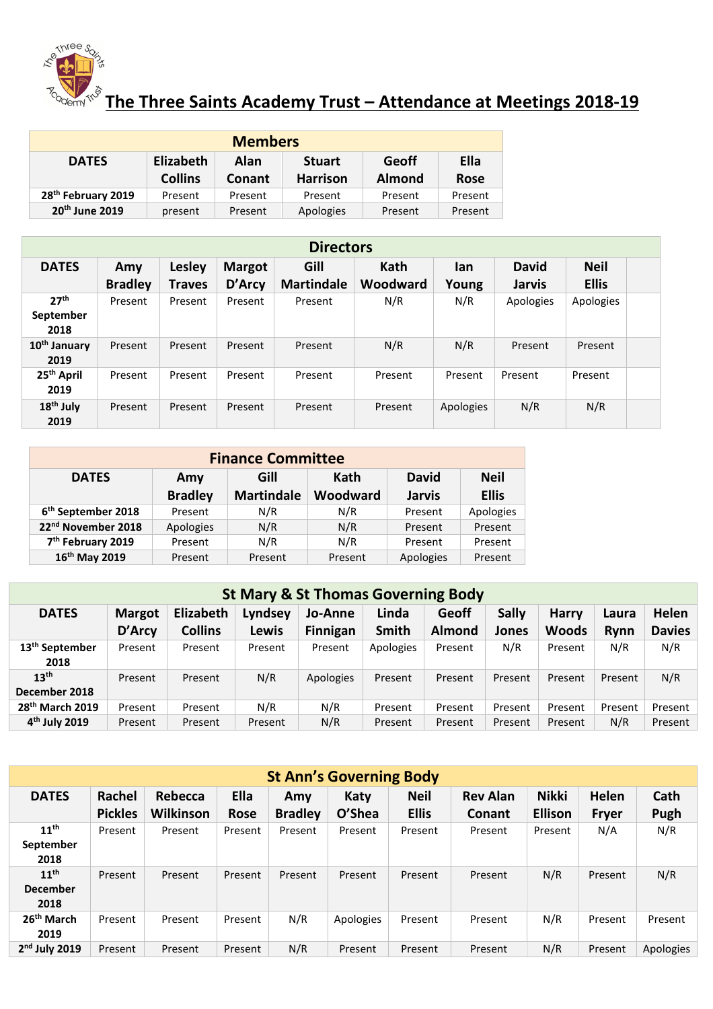

## $\frac{1}{\sqrt{2}}$  The Three Saints Academy Trust – Attendance at Meetings 2018-19

| <b>Members</b>                                                                    |                |         |                 |               |             |  |  |  |  |  |
|-----------------------------------------------------------------------------------|----------------|---------|-----------------|---------------|-------------|--|--|--|--|--|
| <b>Elizabeth</b><br><b>Geoff</b><br>Ella<br>Alan<br><b>DATES</b><br><b>Stuart</b> |                |         |                 |               |             |  |  |  |  |  |
|                                                                                   | <b>Collins</b> | Conant  | <b>Harrison</b> | <b>Almond</b> | <b>Rose</b> |  |  |  |  |  |
| 28 <sup>th</sup> February 2019                                                    | Present        | Present | Present         | Present       | Present     |  |  |  |  |  |
| 20 <sup>th</sup> June 2019                                                        | present        | Present | Apologies       | Present       | Present     |  |  |  |  |  |

| <b>Directors</b>                 |                |               |               |                   |                 |              |               |              |  |  |
|----------------------------------|----------------|---------------|---------------|-------------------|-----------------|--------------|---------------|--------------|--|--|
| <b>DATES</b>                     | Amy            | <b>Lesley</b> | <b>Margot</b> | Gill              | <b>Kath</b>     | <b>David</b> | <b>Neil</b>   |              |  |  |
|                                  | <b>Bradley</b> | <b>Traves</b> | D'Arcy        | <b>Martindale</b> | <b>Woodward</b> | Young        | <b>Jarvis</b> | <b>Ellis</b> |  |  |
| 27 <sup>th</sup>                 | Present        | Present       | Present       | Present           | N/R             | N/R          | Apologies     | Apologies    |  |  |
| September                        |                |               |               |                   |                 |              |               |              |  |  |
| 2018                             |                |               |               |                   |                 |              |               |              |  |  |
| 10 <sup>th</sup> January<br>2019 | Present        | Present       | Present       | Present           | N/R             | N/R          | Present       | Present      |  |  |
| 25 <sup>th</sup> April<br>2019   | Present        | Present       | Present       | Present           | Present         | Present      | Present       | Present      |  |  |
| 18 <sup>th</sup> July<br>2019    | Present        | Present       | Present       | Present           | Present         | Apologies    | N/R           | N/R          |  |  |

| <b>Finance Committee</b>       |                     |                   |          |               |              |  |  |  |  |  |
|--------------------------------|---------------------|-------------------|----------|---------------|--------------|--|--|--|--|--|
| <b>DATES</b>                   | Kath<br>Gill<br>Amy |                   |          | <b>David</b>  | <b>Neil</b>  |  |  |  |  |  |
|                                | <b>Bradley</b>      | <b>Martindale</b> | Woodward | <b>Jarvis</b> | <b>Ellis</b> |  |  |  |  |  |
| 6 <sup>th</sup> September 2018 | Present             | N/R               | N/R      | Present       | Apologies    |  |  |  |  |  |
| 22 <sup>nd</sup> November 2018 | Apologies           | N/R               | N/R      | Present       | Present      |  |  |  |  |  |
| 7 <sup>th</sup> February 2019  | Present             | N/R               | N/R      | Present       | Present      |  |  |  |  |  |
| 16 <sup>th</sup> May 2019      | Present             | Present           | Present  | Apologies     | Present      |  |  |  |  |  |

| <b>St Mary &amp; St Thomas Governing Body</b> |               |                |         |                 |              |               |              |              |         |               |
|-----------------------------------------------|---------------|----------------|---------|-----------------|--------------|---------------|--------------|--------------|---------|---------------|
| <b>DATES</b>                                  | <b>Margot</b> | Elizabeth      | Lyndsey | Jo-Anne         | Linda        | <b>Geoff</b>  | <b>Sally</b> | <b>Harry</b> | Laura   | Helen         |
|                                               | D'Arcy        | <b>Collins</b> | Lewis   | <b>Finnigan</b> | <b>Smith</b> | <b>Almond</b> | Jones        | <b>Woods</b> | Rynn    | <b>Davies</b> |
| 13 <sup>th</sup> September<br>2018            | Present       | Present        | Present | Present         | Apologies    | Present       | N/R          | Present      | N/R     | N/R           |
| 13 <sup>th</sup><br>December 2018             | Present       | Present        | N/R     | Apologies       | Present      | Present       | Present      | Present      | Present | N/R           |
| 28 <sup>th</sup> March 2019                   | Present       | Present        | N/R     | N/R             | Present      | Present       | Present      | Present      | Present | Present       |
| 4 <sup>th</sup> July 2019                     | Present       | Present        | Present | N/R             | Present      | Present       | Present      | Present      | N/R     | Present       |

| <b>St Ann's Governing Body</b> |                |                  |             |                |           |              |                 |                |              |           |
|--------------------------------|----------------|------------------|-------------|----------------|-----------|--------------|-----------------|----------------|--------------|-----------|
| <b>DATES</b>                   | Rachel         | Rebecca          | Ella        | Amy            | Katy      | <b>Neil</b>  | <b>Rev Alan</b> | <b>Nikki</b>   | <b>Helen</b> | Cath      |
|                                | <b>Pickles</b> | <b>Wilkinson</b> | <b>Rose</b> | <b>Bradley</b> | O'Shea    | <b>Ellis</b> | <b>Conant</b>   | <b>Ellison</b> | <b>Fryer</b> | Pugh      |
| 11 <sup>th</sup>               | Present        | Present          | Present     | Present        | Present   | Present      | Present         | Present        | N/A          | N/R       |
| September                      |                |                  |             |                |           |              |                 |                |              |           |
| 2018                           |                |                  |             |                |           |              |                 |                |              |           |
| 11 <sup>th</sup>               | Present        | Present          | Present     | Present        | Present   | Present      | Present         | N/R            | Present      | N/R       |
| <b>December</b>                |                |                  |             |                |           |              |                 |                |              |           |
| 2018                           |                |                  |             |                |           |              |                 |                |              |           |
| 26 <sup>th</sup> March         | Present        | Present          | Present     | N/R            | Apologies | Present      | Present         | N/R            | Present      | Present   |
| 2019                           |                |                  |             |                |           |              |                 |                |              |           |
| $2nd$ July 2019                | Present        | Present          | Present     | N/R            | Present   | Present      | Present         | N/R            | Present      | Apologies |